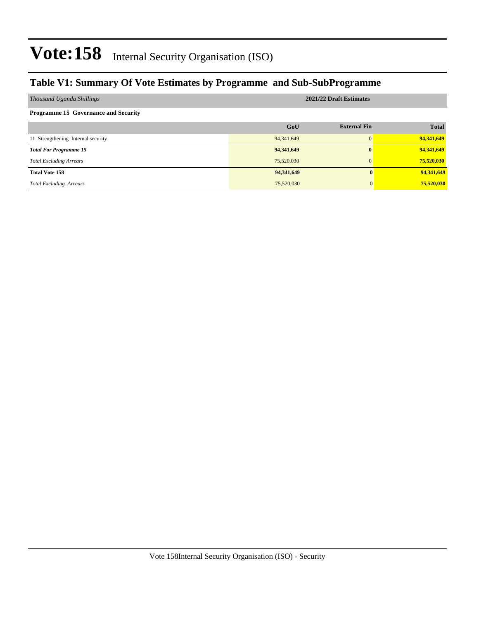### **Table V1: Summary Of Vote Estimates by Programme and Sub-SubProgramme**

| Thousand Uganda Shillings                   | 2021/22 Draft Estimates |                     |              |  |  |  |
|---------------------------------------------|-------------------------|---------------------|--------------|--|--|--|
| <b>Programme 15 Governance and Security</b> |                         |                     |              |  |  |  |
|                                             | GoU                     | <b>External Fin</b> | <b>Total</b> |  |  |  |
| 11 Strengthening Internal security          | 94, 341, 649            | $\Omega$            | 94,341,649   |  |  |  |
| <b>Total For Programme 15</b>               | 94,341,649              | $\bf{0}$            | 94,341,649   |  |  |  |
| <b>Total Excluding Arrears</b>              | 75,520,030              | $\mathbf{0}$        | 75,520,030   |  |  |  |
| <b>Total Vote 158</b>                       | 94,341,649              |                     | 94,341,649   |  |  |  |
| <b>Total Excluding Arrears</b>              | 75,520,030              |                     | 75,520,030   |  |  |  |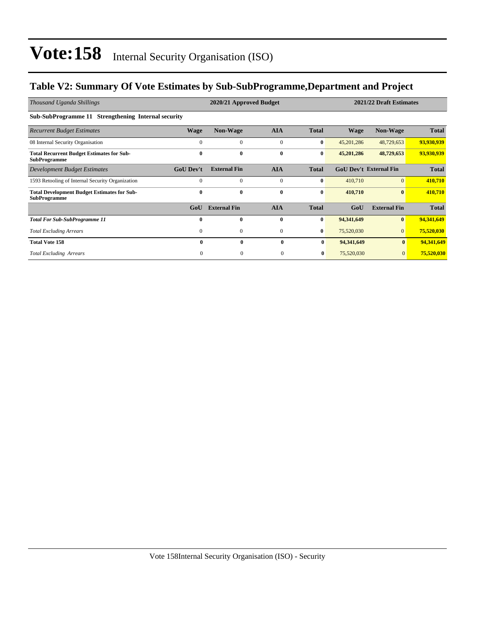### **Table V2: Summary Of Vote Estimates by Sub-SubProgramme,Department and Project**

| Thousand Uganda Shillings                                                 | 2020/21 Approved Budget |                     |              |              | 2021/22 Draft Estimates |                               |              |  |  |  |
|---------------------------------------------------------------------------|-------------------------|---------------------|--------------|--------------|-------------------------|-------------------------------|--------------|--|--|--|
| Sub-SubProgramme 11 Strengthening Internal security                       |                         |                     |              |              |                         |                               |              |  |  |  |
| <b>Recurrent Budget Estimates</b>                                         | <b>Wage</b>             | Non-Wage            | <b>AIA</b>   | <b>Total</b> | Wage                    | Non-Wage                      | <b>Total</b> |  |  |  |
| 08 Internal Security Organisation                                         | $\Omega$                | $\Omega$            | $\mathbf{0}$ | $\bf{0}$     | 45,201,286              | 48,729,653                    | 93,930,939   |  |  |  |
| <b>Total Recurrent Budget Estimates for Sub-</b><br><b>SubProgramme</b>   | $\bf{0}$                | $\mathbf{0}$        | $\bf{0}$     | $\bf{0}$     | 45,201,286              | 48,729,653                    | 93,930,939   |  |  |  |
| Development Budget Estimates                                              | <b>GoU Dev't</b>        | <b>External Fin</b> | <b>AIA</b>   | <b>Total</b> |                         | <b>GoU Dev't External Fin</b> | <b>Total</b> |  |  |  |
| 1593 Retooling of Internal Security Organization                          | $\Omega$                | $\theta$            | $\mathbf{0}$ | $\bf{0}$     | 410,710                 | $\Omega$                      | 410,710      |  |  |  |
| <b>Total Development Budget Estimates for Sub-</b><br><b>SubProgramme</b> | 0                       | $\mathbf{0}$        | $\bf{0}$     | $\bf{0}$     | 410,710                 | $\bf{0}$                      | 410,710      |  |  |  |
|                                                                           | GoU                     | <b>External Fin</b> | <b>AIA</b>   | <b>Total</b> | GoU                     | <b>External Fin</b>           | <b>Total</b> |  |  |  |
| <b>Total For Sub-SubProgramme 11</b>                                      | 0                       | $\mathbf{0}$        | $\mathbf{0}$ | $\bf{0}$     | 94,341,649              | $\bf{0}$                      | 94,341,649   |  |  |  |
| <b>Total Excluding Arrears</b>                                            | $\mathbf{0}$            | 0                   | $\mathbf{0}$ | $\bf{0}$     | 75,520,030              | $\overline{0}$                | 75,520,030   |  |  |  |
| <b>Total Vote 158</b>                                                     | $\mathbf{0}$            | $\bf{0}$            | $\bf{0}$     | $\bf{0}$     | 94,341,649              | $\mathbf{0}$                  | 94,341,649   |  |  |  |
| <b>Total Excluding Arrears</b>                                            | $\mathbf{0}$            | $\boldsymbol{0}$    | $\mathbf{0}$ | 0            | 75,520,030              | $\mathbf{0}$                  | 75,520,030   |  |  |  |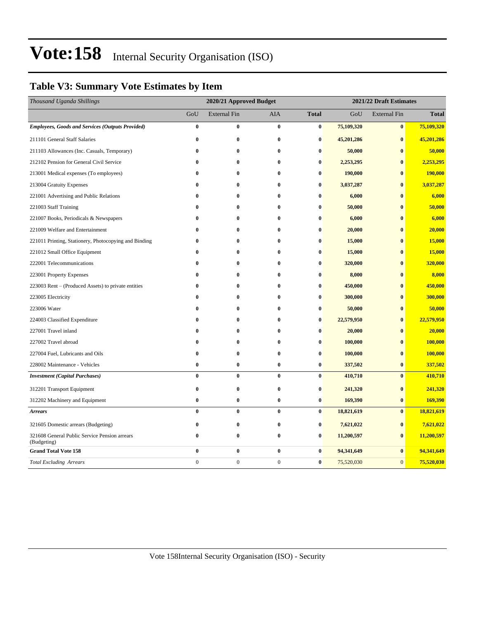### **Table V3: Summary Vote Estimates by Item**

| Thousand Uganda Shillings                                    | 2020/21 Approved Budget |                     |                  |                  | 2021/22 Draft Estimates |                     |              |  |
|--------------------------------------------------------------|-------------------------|---------------------|------------------|------------------|-------------------------|---------------------|--------------|--|
|                                                              | GoU                     | <b>External Fin</b> | <b>AIA</b>       | <b>Total</b>     | GoU                     | <b>External Fin</b> | <b>Total</b> |  |
| <b>Employees, Goods and Services (Outputs Provided)</b>      | $\pmb{0}$               | $\bf{0}$            | $\bf{0}$         | $\bf{0}$         | 75,109,320              | $\bf{0}$            | 75,109,320   |  |
| 211101 General Staff Salaries                                | $\bf{0}$                | $\bf{0}$            | $\bf{0}$         | $\bf{0}$         | 45,201,286              | $\bf{0}$            | 45,201,286   |  |
| 211103 Allowances (Inc. Casuals, Temporary)                  | $\bf{0}$                | $\bf{0}$            | $\bf{0}$         | $\bf{0}$         | 50,000                  | $\bf{0}$            | 50,000       |  |
| 212102 Pension for General Civil Service                     | $\bf{0}$                | 0                   | $\bf{0}$         | $\bf{0}$         | 2,253,295               | $\bf{0}$            | 2,253,295    |  |
| 213001 Medical expenses (To employees)                       | $\bf{0}$                | 0                   | $\bf{0}$         | $\bf{0}$         | 190,000                 | $\bf{0}$            | 190,000      |  |
| 213004 Gratuity Expenses                                     | $\bf{0}$                | $\bf{0}$            | $\bf{0}$         | $\bf{0}$         | 3,037,287               | $\bf{0}$            | 3,037,287    |  |
| 221001 Advertising and Public Relations                      | $\bf{0}$                | 0                   | 0                | $\bf{0}$         | 6,000                   | $\bf{0}$            | 6,000        |  |
| 221003 Staff Training                                        | $\bf{0}$                | $\bf{0}$            | $\bf{0}$         | $\bf{0}$         | 50,000                  | $\bf{0}$            | 50,000       |  |
| 221007 Books, Periodicals & Newspapers                       | $\bf{0}$                | 0                   | $\bf{0}$         | $\bf{0}$         | 6,000                   | $\bf{0}$            | 6,000        |  |
| 221009 Welfare and Entertainment                             | $\bf{0}$                | $\bf{0}$            | $\bf{0}$         | $\bf{0}$         | 20,000                  | $\bf{0}$            | 20,000       |  |
| 221011 Printing, Stationery, Photocopying and Binding        | $\bf{0}$                | $\bf{0}$            | $\bf{0}$         | $\bf{0}$         | 15,000                  | $\bf{0}$            | 15,000       |  |
| 221012 Small Office Equipment                                | $\bf{0}$                | $\bf{0}$            | $\bf{0}$         | $\bf{0}$         | 15,000                  | $\bf{0}$            | 15,000       |  |
| 222001 Telecommunications                                    | $\bf{0}$                | $\bf{0}$            | $\bf{0}$         | $\bf{0}$         | 320,000                 | $\bf{0}$            | 320,000      |  |
| 223001 Property Expenses                                     | $\bf{0}$                | 0                   | 0                | $\bf{0}$         | 8,000                   | $\bf{0}$            | 8,000        |  |
| 223003 Rent - (Produced Assets) to private entities          | $\bf{0}$                | $\bf{0}$            | $\bf{0}$         | $\bf{0}$         | 450,000                 | $\bf{0}$            | 450,000      |  |
| 223005 Electricity                                           | $\bf{0}$                | $\bf{0}$            | $\bf{0}$         | $\bf{0}$         | 300,000                 | $\bf{0}$            | 300,000      |  |
| 223006 Water                                                 | $\bf{0}$                | 0                   | $\bf{0}$         | $\bf{0}$         | 50,000                  | $\bf{0}$            | 50,000       |  |
| 224003 Classified Expenditure                                | $\bf{0}$                | $\bf{0}$            | $\bf{0}$         | $\bf{0}$         | 22,579,950              | $\bf{0}$            | 22,579,950   |  |
| 227001 Travel inland                                         | $\bf{0}$                | 0                   | 0                | $\bf{0}$         | 20,000                  | $\bf{0}$            | 20,000       |  |
| 227002 Travel abroad                                         | $\bf{0}$                | $\bf{0}$            | $\bf{0}$         | $\bf{0}$         | 100,000                 | $\bf{0}$            | 100,000      |  |
| 227004 Fuel, Lubricants and Oils                             | $\bf{0}$                | $\bf{0}$            | $\bf{0}$         | $\bf{0}$         | 100,000                 | $\bf{0}$            | 100,000      |  |
| 228002 Maintenance - Vehicles                                | $\pmb{0}$               | $\bf{0}$            | $\bf{0}$         | $\boldsymbol{0}$ | 337,502                 | $\bf{0}$            | 337,502      |  |
| <b>Investment</b> (Capital Purchases)                        | $\bf{0}$                | $\bf{0}$            | $\bf{0}$         | $\bf{0}$         | 410,710                 | $\bf{0}$            | 410,710      |  |
| 312201 Transport Equipment                                   | $\bf{0}$                | $\bf{0}$            | $\bf{0}$         | $\bf{0}$         | 241,320                 | $\bf{0}$            | 241,320      |  |
| 312202 Machinery and Equipment                               | $\bf{0}$                | $\bf{0}$            | 0                | $\bf{0}$         | 169,390                 | $\bf{0}$            | 169,390      |  |
| <b>Arrears</b>                                               | $\bf{0}$                | $\bf{0}$            | $\bf{0}$         | $\bf{0}$         | 18,821,619              | $\bf{0}$            | 18,821,619   |  |
| 321605 Domestic arrears (Budgeting)                          | $\bf{0}$                | $\bf{0}$            | $\bf{0}$         | $\bf{0}$         | 7,621,022               | $\bf{0}$            | 7,621,022    |  |
| 321608 General Public Service Pension arrears<br>(Budgeting) | $\bf{0}$                | $\bf{0}$            | 0                | $\bf{0}$         | 11,200,597              | $\bf{0}$            | 11,200,597   |  |
| <b>Grand Total Vote 158</b>                                  | $\bf{0}$                | $\bf{0}$            | $\bf{0}$         | $\bf{0}$         | 94,341,649              | $\bf{0}$            | 94,341,649   |  |
| <b>Total Excluding Arrears</b>                               | $\boldsymbol{0}$        | $\boldsymbol{0}$    | $\boldsymbol{0}$ | $\bf{0}$         | 75,520,030              | $\mathbf{0}$        | 75,520,030   |  |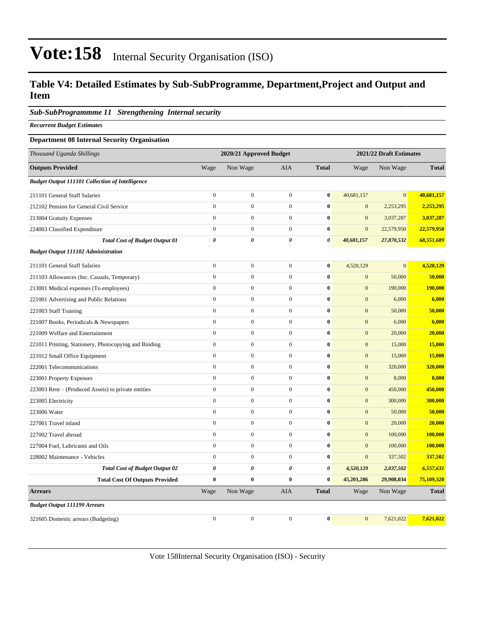#### **Table V4: Detailed Estimates by Sub-SubProgramme, Department,Project and Output and Item**

#### *Sub-SubProgrammme 11 Strengthening Internal security*

*Recurrent Budget Estimates*

#### **Department 08 Internal Security Organisation**

| Thousand Uganda Shillings                              |                       | 2020/21 Approved Budget |                  |                | 2021/22 Draft Estimates |              |                |  |
|--------------------------------------------------------|-----------------------|-------------------------|------------------|----------------|-------------------------|--------------|----------------|--|
| <b>Outputs Provided</b>                                | Wage                  | Non Wage                | AIA              | <b>Total</b>   | Wage                    | Non Wage     | <b>Total</b>   |  |
| <b>Budget Output 111101 Collection of Intelligence</b> |                       |                         |                  |                |                         |              |                |  |
| 211101 General Staff Salaries                          | $\boldsymbol{0}$      | $\boldsymbol{0}$        | $\boldsymbol{0}$ | $\bf{0}$       | 40,681,157              | $\mathbf{0}$ | 40,681,157     |  |
| 212102 Pension for General Civil Service               | $\mathbf{0}$          | $\boldsymbol{0}$        | $\boldsymbol{0}$ | $\bf{0}$       | $\mathbf{0}$            | 2,253,295    | 2,253,295      |  |
| 213004 Gratuity Expenses                               | $\mathbf{0}$          | $\boldsymbol{0}$        | $\boldsymbol{0}$ | $\bf{0}$       | $\mathbf{0}$            | 3,037,287    | 3,037,287      |  |
| 224003 Classified Expenditure                          | $\mathbf{0}$          | $\boldsymbol{0}$        | $\boldsymbol{0}$ | $\bf{0}$       | $\mathbf{0}$            | 22,579,950   | 22,579,950     |  |
| <b>Total Cost of Budget Output 01</b>                  | $\boldsymbol{\theta}$ | 0                       | 0                | $\pmb{\theta}$ | 40,681,157              | 27,870,532   | 68,551,689     |  |
| <b>Budget Output 111102 Administration</b>             |                       |                         |                  |                |                         |              |                |  |
| 211101 General Staff Salaries                          | $\mathbf{0}$          | $\mathbf{0}$            | $\mathbf{0}$     | $\bf{0}$       | 4,520,129               | $\mathbf{0}$ | 4,520,129      |  |
| 211103 Allowances (Inc. Casuals, Temporary)            | $\mathbf{0}$          | $\boldsymbol{0}$        | $\overline{0}$   | $\bf{0}$       | $\mathbf{0}$            | 50,000       | 50,000         |  |
| 213001 Medical expenses (To employees)                 | $\mathbf{0}$          | $\boldsymbol{0}$        | $\boldsymbol{0}$ | $\bf{0}$       | $\boldsymbol{0}$        | 190,000      | <b>190,000</b> |  |
| 221001 Advertising and Public Relations                | $\mathbf{0}$          | $\boldsymbol{0}$        | $\boldsymbol{0}$ | $\bf{0}$       | $\boldsymbol{0}$        | 6,000        | 6,000          |  |
| 221003 Staff Training                                  | $\mathbf{0}$          | $\boldsymbol{0}$        | $\boldsymbol{0}$ | $\bf{0}$       | $\boldsymbol{0}$        | 50,000       | 50,000         |  |
| 221007 Books, Periodicals & Newspapers                 | $\boldsymbol{0}$      | $\boldsymbol{0}$        | $\boldsymbol{0}$ | $\bf{0}$       | $\boldsymbol{0}$        | 6,000        | 6,000          |  |
| 221009 Welfare and Entertainment                       | $\mathbf{0}$          | $\boldsymbol{0}$        | $\boldsymbol{0}$ | $\bf{0}$       | $\mathbf{0}$            | 20,000       | 20,000         |  |
| 221011 Printing, Stationery, Photocopying and Binding  | $\boldsymbol{0}$      | $\boldsymbol{0}$        | $\boldsymbol{0}$ | $\bf{0}$       | $\mathbf{0}$            | 15,000       | 15,000         |  |
| 221012 Small Office Equipment                          | $\boldsymbol{0}$      | $\overline{0}$          | $\overline{0}$   | $\bf{0}$       | $\mathbf{0}$            | 15,000       | 15,000         |  |
| 222001 Telecommunications                              | $\boldsymbol{0}$      | $\boldsymbol{0}$        | $\boldsymbol{0}$ | $\bf{0}$       | $\boldsymbol{0}$        | 320,000      | 320,000        |  |
| 223001 Property Expenses                               | $\boldsymbol{0}$      | $\mathbf{0}$            | $\boldsymbol{0}$ | $\bf{0}$       | $\boldsymbol{0}$        | 8,000        | 8,000          |  |
| 223003 Rent – (Produced Assets) to private entities    | $\mathbf{0}$          | $\overline{0}$          | $\overline{0}$   | $\bf{0}$       | $\boldsymbol{0}$        | 450,000      | 450,000        |  |
| 223005 Electricity                                     | $\mathbf{0}$          | $\overline{0}$          | $\mathbf{0}$     | $\bf{0}$       | $\mathbf{0}$            | 300,000      | 300,000        |  |
| 223006 Water                                           | $\mathbf{0}$          | $\overline{0}$          | $\mathbf{0}$     | $\bf{0}$       | $\mathbf{0}$            | 50,000       | 50,000         |  |
| 227001 Travel inland                                   | $\overline{0}$        | $\boldsymbol{0}$        | $\overline{0}$   | $\bf{0}$       | $\mathbf{0}$            | 20,000       | 20,000         |  |
| 227002 Travel abroad                                   | $\mathbf{0}$          | $\overline{0}$          | $\overline{0}$   | $\bf{0}$       | $\mathbf{0}$            | 100,000      | 100,000        |  |
| 227004 Fuel, Lubricants and Oils                       | $\mathbf{0}$          | $\boldsymbol{0}$        | $\overline{0}$   | $\bf{0}$       | $\mathbf{0}$            | 100,000      | 100,000        |  |
| 228002 Maintenance - Vehicles                          | $\mathbf{0}$          | $\overline{0}$          | $\overline{0}$   | $\bf{0}$       | $\mathbf{0}$            | 337,502      | 337,502        |  |
| <b>Total Cost of Budget Output 02</b>                  | 0                     | 0                       | 0                | 0              | 4,520,129               | 2,037,502    | 6,557,631      |  |
| <b>Total Cost Of Outputs Provided</b>                  | $\bf{0}$              | $\bf{0}$                | $\bf{0}$         | $\bf{0}$       | 45,201,286              | 29,908,034   | 75,109,320     |  |
| <b>Arrears</b>                                         | Wage                  | Non Wage                | <b>AIA</b>       | <b>Total</b>   | Wage                    | Non Wage     | <b>Total</b>   |  |
| <b>Budget Output 111199 Arrears</b>                    |                       |                         |                  |                |                         |              |                |  |
| 321605 Domestic arrears (Budgeting)                    | $\mathbf{0}$          | $\mathbf{0}$            | $\mathbf{0}$     | $\bf{0}$       | $\mathbf{0}$            | 7,621,022    | 7,621,022      |  |